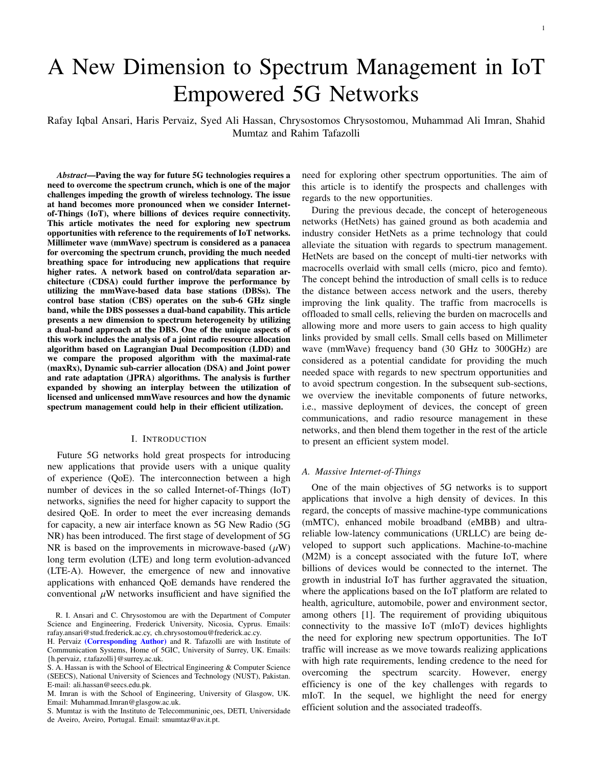# A New Dimension to Spectrum Management in IoT Empowered 5G Networks

Rafay Iqbal Ansari, Haris Pervaiz, Syed Ali Hassan, Chrysostomos Chrysostomou, Muhammad Ali Imran, Shahid Mumtaz and Rahim Tafazolli

*Abstract*—Paving the way for future 5G technologies requires a need to overcome the spectrum crunch, which is one of the major challenges impeding the growth of wireless technology. The issue at hand becomes more pronounced when we consider Internetof-Things (IoT), where billions of devices require connectivity. This article motivates the need for exploring new spectrum opportunities with reference to the requirements of IoT networks. Millimeter wave (mmWave) spectrum is considered as a panacea for overcoming the spectrum crunch, providing the much needed breathing space for introducing new applications that require higher rates. A network based on control/data separation architecture (CDSA) could further improve the performance by utilizing the mmWave-based data base stations (DBSs). The control base station (CBS) operates on the sub-6 GHz single band, while the DBS possesses a dual-band capability. This article presents a new dimension to spectrum heterogeneity by utilizing a dual-band approach at the DBS. One of the unique aspects of this work includes the analysis of a joint radio resource allocation algorithm based on Lagrangian Dual Decomposition (LDD) and we compare the proposed algorithm with the maximal-rate (maxRx), Dynamic sub-carrier allocation (DSA) and Joint power and rate adaptation (JPRA) algorithms. The analysis is further expanded by showing an interplay between the utilization of licensed and unlicensed mmWave resources and how the dynamic spectrum management could help in their efficient utilization.

#### I. INTRODUCTION

Future 5G networks hold great prospects for introducing new applications that provide users with a unique quality of experience (QoE). The interconnection between a high number of devices in the so called Internet-of-Things (IoT) networks, signifies the need for higher capacity to support the desired QoE. In order to meet the ever increasing demands for capacity, a new air interface known as 5G New Radio (5G NR) has been introduced. The first stage of development of 5G NR is based on the improvements in microwave-based  $(\mu W)$ long term evolution (LTE) and long term evolution-advanced (LTE-A). However, the emergence of new and innovative applications with enhanced QoE demands have rendered the conventional  $\mu$ W networks insufficient and have signified the

S. Mumtaz is with the Instituto de Telecommuninic¸oes, DETI, Universidade de Aveiro, Aveiro, Portugal. Email: smumtaz@av.it.pt.

need for exploring other spectrum opportunities. The aim of this article is to identify the prospects and challenges with regards to the new opportunities.

During the previous decade, the concept of heterogeneous networks (HetNets) has gained ground as both academia and industry consider HetNets as a prime technology that could alleviate the situation with regards to spectrum management. HetNets are based on the concept of multi-tier networks with macrocells overlaid with small cells (micro, pico and femto). The concept behind the introduction of small cells is to reduce the distance between access network and the users, thereby improving the link quality. The traffic from macrocells is offloaded to small cells, relieving the burden on macrocells and allowing more and more users to gain access to high quality links provided by small cells. Small cells based on Millimeter wave (mmWave) frequency band (30 GHz to 300GHz) are considered as a potential candidate for providing the much needed space with regards to new spectrum opportunities and to avoid spectrum congestion. In the subsequent sub-sections, we overview the inevitable components of future networks, i.e., massive deployment of devices, the concept of green communications, and radio resource management in these networks, and then blend them together in the rest of the article to present an efficient system model.

# *A. Massive Internet-of-Things*

One of the main objectives of 5G networks is to support applications that involve a high density of devices. In this regard, the concepts of massive machine-type communications (mMTC), enhanced mobile broadband (eMBB) and ultrareliable low-latency communications (URLLC) are being developed to support such applications. Machine-to-machine (M2M) is a concept associated with the future IoT, where billions of devices would be connected to the internet. The growth in industrial IoT has further aggravated the situation, where the applications based on the IoT platform are related to health, agriculture, automobile, power and environment sector, among others [1]. The requirement of providing ubiquitous connectivity to the massive IoT (mIoT) devices highlights the need for exploring new spectrum opportunities. The IoT traffic will increase as we move towards realizing applications with high rate requirements, lending credence to the need for overcoming the spectrum scarcity. However, energy efficiency is one of the key challenges with regards to mIoT. In the sequel, we highlight the need for energy efficient solution and the associated tradeoffs.

R. I. Ansari and C. Chrysostomou are with the Department of Computer Science and Engineering, Frederick University, Nicosia, Cyprus. Emails: rafay.ansari@stud.frederick.ac.cy, ch.chrysostomou@frederick.ac.cy.

H. Pervaiz (Corresponding Author) and R. Tafazolli are with Institute of Communication Systems, Home of 5GIC, University of Surrey, UK. Emails: {h.pervaiz, r.tafazolli}@surrey.ac.uk.

S. A. Hassan is with the School of Electrical Engineering & Computer Science (SEECS), National University of Sciences and Technology (NUST), Pakistan. E-mail: ali.hassan@seecs.edu.pk.

M. Imran is with the School of Engineering, University of Glasgow, UK. Email: Muhammad.Imran@glasgow.ac.uk.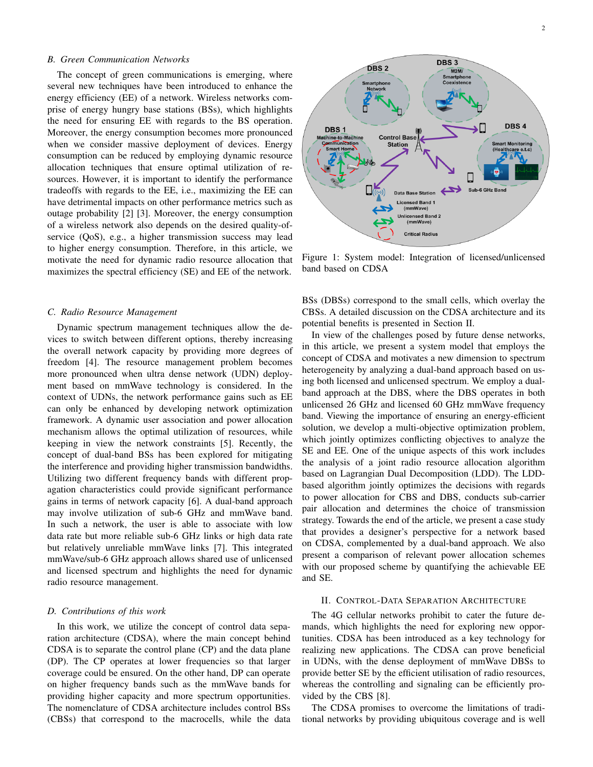## *B. Green Communication Networks*

The concept of green communications is emerging, where several new techniques have been introduced to enhance the energy efficiency (EE) of a network. Wireless networks comprise of energy hungry base stations (BSs), which highlights the need for ensuring EE with regards to the BS operation. Moreover, the energy consumption becomes more pronounced when we consider massive deployment of devices. Energy consumption can be reduced by employing dynamic resource allocation techniques that ensure optimal utilization of resources. However, it is important to identify the performance tradeoffs with regards to the EE, i.e., maximizing the EE can have detrimental impacts on other performance metrics such as outage probability [2] [3]. Moreover, the energy consumption of a wireless network also depends on the desired quality-ofservice (QoS), e.g., a higher transmission success may lead to higher energy consumption. Therefore, in this article, we motivate the need for dynamic radio resource allocation that maximizes the spectral efficiency (SE) and EE of the network.

#### *C. Radio Resource Management*

Dynamic spectrum management techniques allow the devices to switch between different options, thereby increasing the overall network capacity by providing more degrees of freedom [4]. The resource management problem becomes more pronounced when ultra dense network (UDN) deployment based on mmWave technology is considered. In the context of UDNs, the network performance gains such as EE can only be enhanced by developing network optimization framework. A dynamic user association and power allocation mechanism allows the optimal utilization of resources, while keeping in view the network constraints [5]. Recently, the concept of dual-band BSs has been explored for mitigating the interference and providing higher transmission bandwidths. Utilizing two different frequency bands with different propagation characteristics could provide significant performance gains in terms of network capacity [6]. A dual-band approach may involve utilization of sub-6 GHz and mmWave band. In such a network, the user is able to associate with low data rate but more reliable sub-6 GHz links or high data rate but relatively unreliable mmWave links [7]. This integrated mmWave/sub-6 GHz approach allows shared use of unlicensed and licensed spectrum and highlights the need for dynamic radio resource management.

#### *D. Contributions of this work*

In this work, we utilize the concept of control data separation architecture (CDSA), where the main concept behind CDSA is to separate the control plane (CP) and the data plane (DP). The CP operates at lower frequencies so that larger coverage could be ensured. On the other hand, DP can operate on higher frequency bands such as the mmWave bands for providing higher capacity and more spectrum opportunities. The nomenclature of CDSA architecture includes control BSs (CBSs) that correspond to the macrocells, while the data



Figure 1: System model: Integration of licensed/unlicensed band based on CDSA

BSs (DBSs) correspond to the small cells, which overlay the CBSs. A detailed discussion on the CDSA architecture and its potential benefits is presented in Section II.

In view of the challenges posed by future dense networks, in this article, we present a system model that employs the concept of CDSA and motivates a new dimension to spectrum heterogeneity by analyzing a dual-band approach based on using both licensed and unlicensed spectrum. We employ a dualband approach at the DBS, where the DBS operates in both unlicensed 26 GHz and licensed 60 GHz mmWave frequency band. Viewing the importance of ensuring an energy-efficient solution, we develop a multi-objective optimization problem, which jointly optimizes conflicting objectives to analyze the SE and EE. One of the unique aspects of this work includes the analysis of a joint radio resource allocation algorithm based on Lagrangian Dual Decomposition (LDD). The LDDbased algorithm jointly optimizes the decisions with regards to power allocation for CBS and DBS, conducts sub-carrier pair allocation and determines the choice of transmission strategy. Towards the end of the article, we present a case study that provides a designer's perspective for a network based on CDSA, complemented by a dual-band approach. We also present a comparison of relevant power allocation schemes with our proposed scheme by quantifying the achievable EE and SE.

## II. CONTROL-DATA SEPARATION ARCHITECTURE

The 4G cellular networks prohibit to cater the future demands, which highlights the need for exploring new opportunities. CDSA has been introduced as a key technology for realizing new applications. The CDSA can prove beneficial in UDNs, with the dense deployment of mmWave DBSs to provide better SE by the efficient utilisation of radio resources, whereas the controlling and signaling can be efficiently provided by the CBS [8].

The CDSA promises to overcome the limitations of traditional networks by providing ubiquitous coverage and is well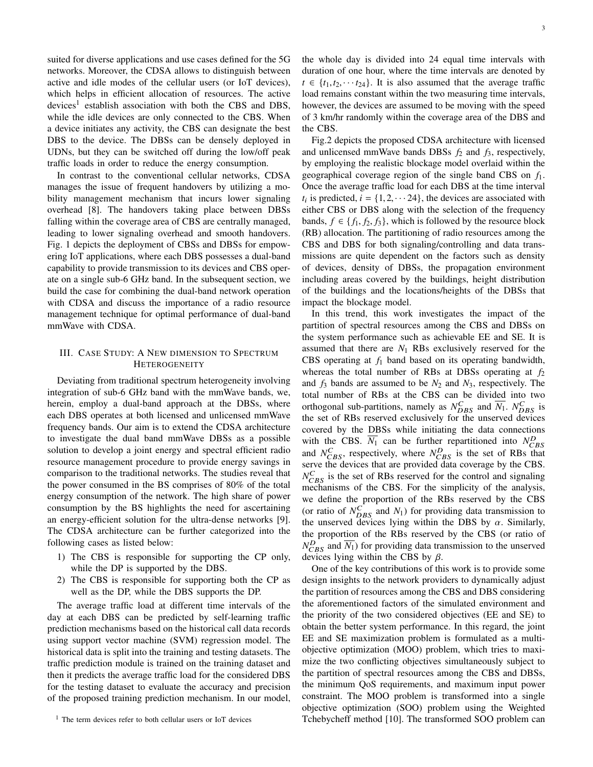suited for diverse applications and use cases defined for the 5G networks. Moreover, the CDSA allows to distinguish between active and idle modes of the cellular users (or IoT devices), which helps in efficient allocation of resources. The active devices<sup>1</sup> establish association with both the CBS and DBS, while the idle devices are only connected to the CBS. When a device initiates any activity, the CBS can designate the best DBS to the device. The DBSs can be densely deployed in UDNs, but they can be switched off during the low/off peak traffic loads in order to reduce the energy consumption.

In contrast to the conventional cellular networks, CDSA manages the issue of frequent handovers by utilizing a mobility management mechanism that incurs lower signaling overhead [8]. The handovers taking place between DBSs falling within the coverage area of CBS are centrally managed, leading to lower signaling overhead and smooth handovers. Fig. 1 depicts the deployment of CBSs and DBSs for empowering IoT applications, where each DBS possesses a dual-band capability to provide transmission to its devices and CBS operate on a single sub-6 GHz band. In the subsequent section, we build the case for combining the dual-band network operation with CDSA and discuss the importance of a radio resource management technique for optimal performance of dual-band mmWave with CDSA.

## III. CASE STUDY: A NEW DIMENSION TO SPECTRUM HETEROGENEITY

Deviating from traditional spectrum heterogeneity involving integration of sub-6 GHz band with the mmWave bands, we, herein, employ a dual-band approach at the DBSs, where each DBS operates at both licensed and unlicensed mmWave frequency bands. Our aim is to extend the CDSA architecture to investigate the dual band mmWave DBSs as a possible solution to develop a joint energy and spectral efficient radio resource management procedure to provide energy savings in comparison to the traditional networks. The studies reveal that the power consumed in the BS comprises of 80% of the total energy consumption of the network. The high share of power consumption by the BS highlights the need for ascertaining an energy-efficient solution for the ultra-dense networks [9]. The CDSA architecture can be further categorized into the following cases as listed below:

- 1) The CBS is responsible for supporting the CP only, while the DP is supported by the DBS.
- 2) The CBS is responsible for supporting both the CP as well as the DP, while the DBS supports the DP.

The average traffic load at different time intervals of the day at each DBS can be predicted by self-learning traffic prediction mechanisms based on the historical call data records using support vector machine (SVM) regression model. The historical data is split into the training and testing datasets. The traffic prediction module is trained on the training dataset and then it predicts the average traffic load for the considered DBS for the testing dataset to evaluate the accuracy and precision of the proposed training prediction mechanism. In our model, the whole day is divided into 24 equal time intervals with duration of one hour, where the time intervals are denoted by  $t \in \{t_1, t_2, \dots, t_{24}\}.$  It is also assumed that the average traffic load remains constant within the two measuring time intervals, however, the devices are assumed to be moving with the speed of 3 km/hr randomly within the coverage area of the DBS and the CBS.

Fig.2 depicts the proposed CDSA architecture with licensed and unlicensed mmWave bands DBSs *f*<sup>2</sup> and *f*3, respectively, by employing the realistic blockage model overlaid within the geographical coverage region of the single band CBS on *f*1. Once the average traffic load for each DBS at the time interval  $t_i$  is predicted,  $i = \{1, 2, \dots, 24\}$ , the devices are associated with either CBS or DBS along with the selection of the frequency either CBS or DBS along with the selection of the frequency bands,  $f \in \{f_1, f_2, f_3\}$ , which is followed by the resource block (RB) allocation. The partitioning of radio resources among the CBS and DBS for both signaling/controlling and data transmissions are quite dependent on the factors such as density of devices, density of DBSs, the propagation environment including areas covered by the buildings, height distribution of the buildings and the locations/heights of the DBSs that impact the blockage model.

In this trend, this work investigates the impact of the partition of spectral resources among the CBS and DBSs on the system performance such as achievable EE and SE. It is assumed that there are  $N_1$  RBs exclusively reserved for the CBS operating at *f*<sup>1</sup> band based on its operating bandwidth, whereas the total number of RBs at DBSs operating at *f*<sup>2</sup> and  $f_3$  bands are assumed to be  $N_2$  and  $N_3$ , respectively. The total number of RBs at the CBS can be divided into two orthogonal sub-partitions, namely as  $N_{DBS}^C$  and  $\overline{N_1}$ .  $N_{DBS}^C$  is the set of RBs reserved exclusively for the unserved devices covered by the DBSs while initiating the data connections with the CBS.  $\overline{N_1}$  can be further repartitioned into  $N_{CBS}^D$ and  $N_{CBS}^C$ , respectively, where  $N_{CBS}^D$  is the set of RBs that serve the devices that are provided data coverage by the CBS.  $N_{CBS}^C$  is the set of RBs reserved for the control and signaling mechanisms of the CBS. For the simplicity of the analysis, we define the proportion of the RBs reserved by the CBS (or ratio of  $N_{DBS}^C$  and  $N_1$ ) for providing data transmission to the unserved devices lying within the DBS by  $\alpha$ . Similarly, the proportion of the RBs reserved by the CBS (or ratio of  $N_{CBS}^D$  and  $\overline{N_1}$ ) for providing data transmission to the unserved devices lying within the CBS by  $\beta$ .

One of the key contributions of this work is to provide some design insights to the network providers to dynamically adjust the partition of resources among the CBS and DBS considering the aforementioned factors of the simulated environment and the priority of the two considered objectives (EE and SE) to obtain the better system performance. In this regard, the joint EE and SE maximization problem is formulated as a multiobjective optimization (MOO) problem, which tries to maximize the two conflicting objectives simultaneously subject to the partition of spectral resources among the CBS and DBSs, the minimum QoS requirements, and maximum input power constraint. The MOO problem is transformed into a single objective optimization (SOO) problem using the Weighted Tchebycheff method [10]. The transformed SOO problem can

<sup>1</sup> The term devices refer to both cellular users or IoT devices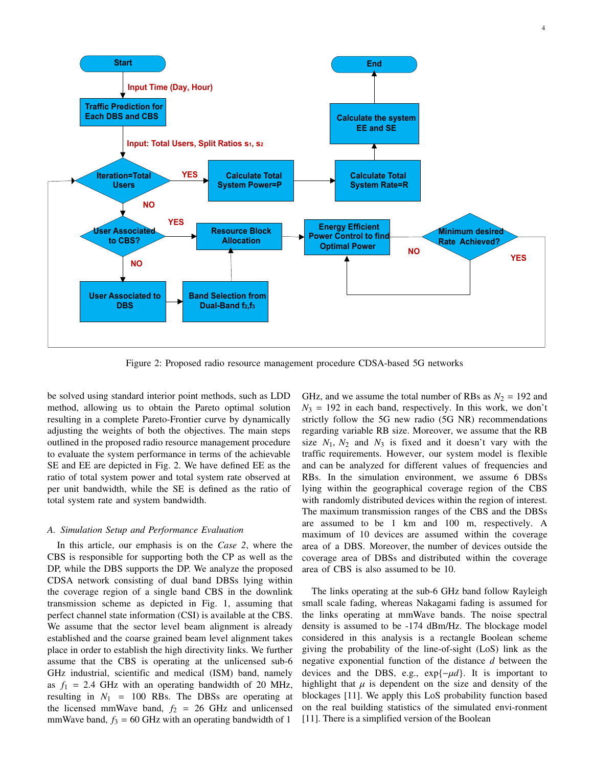

Figure 2: Proposed radio resource management procedure CDSA-based 5G networks

be solved using standard interior point methods, such as LDD method, allowing us to obtain the Pareto optimal solution resulting in a complete Pareto-Frontier curve by dynamically adjusting the weights of both the objectives. The main steps outlined in the proposed radio resource management procedure to evaluate the system performance in terms of the achievable SE and EE are depicted in Fig. 2. We have defined EE as the ratio of total system power and total system rate observed at per unit bandwidth, while the SE is defined as the ratio of total system rate and system bandwidth.

#### *A. Simulation Setup and Performance Evaluation*

In this article, our emphasis is on the *Case 2*, where the CBS is responsible for supporting both the CP as well as the DP, while the DBS supports the DP. We analyze the proposed CDSA network consisting of dual band DBSs lying within the coverage region of a single band CBS in the downlink transmission scheme as depicted in Fig. 1, assuming that perfect channel state information (CSI) is available at the CBS. We assume that the sector level beam alignment is already established and the coarse grained beam level alignment takes place in order to establish the high directivity links. We further assume that the CBS is operating at the unlicensed sub-6 GHz industrial, scientific and medical (ISM) band, namely as  $f_1 = 2.4$  GHz with an operating bandwidth of 20 MHz, resulting in  $N_1$  = 100 RBs. The DBSs are operating at the licensed mmWave band,  $f_2 = 26$  GHz and unlicensed mmWave band,  $f_3 = 60$  GHz with an operating bandwidth of 1

GHz, and we assume the total number of RBs as  $N_2 = 192$  and  $N_3$  = 192 in each band, respectively. In this work, we don't strictly follow the 5G new radio (5G NR) recommendations regarding variable RB size. Moreover, we assume that the RB size  $N_1$ ,  $N_2$  and  $N_3$  is fixed and it doesn't vary with the traffic requirements. However, our system model is flexible and can be analyzed for different values of frequencies and RBs. In the simulation environment, we assume 6 DBSs lying within the geographical coverage region of the CBS with randomly distributed devices within the region of interest. The maximum transmission ranges of the CBS and the DBSs are assumed to be 1 km and 100 m, respectively. A maximum of 10 devices are assumed within the coverage area of a DBS. Moreover, the number of devices outside the coverage area of DBSs and distributed within the coverage area of CBS is also assumed to be 10.

The links operating at the sub-6 GHz band follow Rayleigh small scale fading, whereas Nakagami fading is assumed for the links operating at mmWave bands. The noise spectral density is assumed to be -174 dBm/Hz. The blockage model considered in this analysis is a rectangle Boolean scheme giving the probability of the line-of-sight (LoS) link as the negative exponential function of the distance *d* between the devices and the DBS, e.g., exp{−µ*d*}. It is important to highlight that  $\mu$  is dependent on the size and density of the blockages [11]. We apply this LoS probability function based on the real building statistics of the simulated envi-ronment [11]. There is a simplified version of the Boolean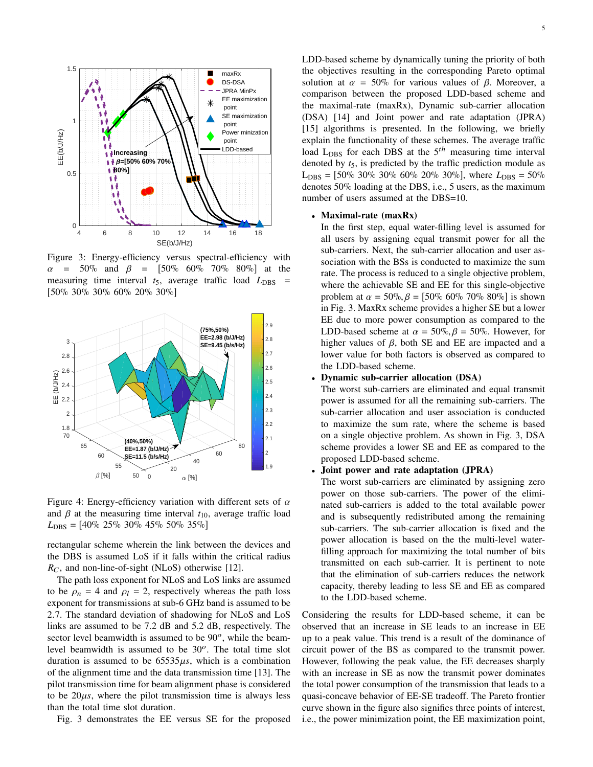

Figure 3: Energy-efficiency versus spectral-efficiency with  $\alpha$  = 50% and  $\beta$  = [50% 60% 70% 80%] at the measuring time interval  $t_5$ , average traffic load  $L_{\text{DBS}}$  = [50% 30% 30% 60% 20% 30%]



Figure 4: Energy-efficiency variation with different sets of  $\alpha$ and  $\beta$  at the measuring time interval  $t_{10}$ , average traffic load  $L_{\text{DBS}} = [40\% \ 25\% \ 30\% \ 45\% \ 50\% \ 35\%]$ 

rectangular scheme wherein the link between the devices and the DBS is assumed LoS if it falls within the critical radius  $R_C$ , and non-line-of-sight (NLoS) otherwise [12].

The path loss exponent for NLoS and LoS links are assumed to be  $\rho_n = 4$  and  $\rho_l = 2$ , respectively whereas the path loss exponent for transmissions at sub-6 GHz band is assumed to be <sup>2</sup>.7. The standard deviation of shadowing for NLoS and LoS links are assumed to be 7.2 dB and 5.2 dB, respectively. The sector level beamwidth is assumed to be  $90^\circ$ , while the beamlevel beamwidth is assumed to be  $30^\circ$ . The total time slot duration is assumed to be  $65535\mu s$ , which is a combination of the alignment time and the data transmission time [13]. The pilot transmission time for beam alignment phase is considered to be  $20\mu s$ , where the pilot transmission time is always less than the total time slot duration.

Fig. 3 demonstrates the EE versus SE for the proposed

LDD-based scheme by dynamically tuning the priority of both the objectives resulting in the corresponding Pareto optimal solution at  $\alpha = 50\%$  for various values of  $\beta$ . Moreover, a comparison between the proposed LDD-based scheme and the maximal-rate (maxRx), Dynamic sub-carrier allocation (DSA) [14] and Joint power and rate adaptation (JPRA) [15] algorithms is presented. In the following, we briefly explain the functionality of these schemes. The average traffic load  $L_{\text{DBS}}$  for each DBS at the  $5<sup>th</sup>$  measuring time interval denoted by *t*5, is predicted by the traffic prediction module as  $L_{\text{DBS}} = [50\% \ 30\% \ 30\% \ 60\% \ 20\% \ 30\%]$ , where  $L_{\text{DBS}} = 50\%$ denotes 50% loading at the DBS, i.e., 5 users, as the maximum number of users assumed at the DBS=10.

## • Maximal-rate (maxRx)

In the first step, equal water-filling level is assumed for all users by assigning equal transmit power for all the sub-carriers. Next, the sub-carrier allocation and user association with the BSs is conducted to maximize the sum rate. The process is reduced to a single objective problem, where the achievable SE and EE for this single-objective problem at  $\alpha = 50\%$ ,  $\beta = [50\% \ 60\% \ 70\% \ 80\%]$  is shown in Fig. 3. MaxRx scheme provides a higher SE but a lower EE due to more power consumption as compared to the LDD-based scheme at  $\alpha = 50\%$ ,  $\beta = 50\%$ . However, for higher values of  $\beta$ , both SE and EE are impacted and a lower value for both factors is observed as compared to the LDD-based scheme.

## • Dynamic sub-carrier allocation (DSA)

The worst sub-carriers are eliminated and equal transmit power is assumed for all the remaining sub-carriers. The sub-carrier allocation and user association is conducted to maximize the sum rate, where the scheme is based on a single objective problem. As shown in Fig. 3, DSA scheme provides a lower SE and EE as compared to the proposed LDD-based scheme.

## • Joint power and rate adaptation (JPRA)

The worst sub-carriers are eliminated by assigning zero power on those sub-carriers. The power of the eliminated sub-carriers is added to the total available power and is subsequently redistributed among the remaining sub-carriers. The sub-carrier allocation is fixed and the power allocation is based on the the multi-level waterfilling approach for maximizing the total number of bits transmitted on each sub-carrier. It is pertinent to note that the elimination of sub-carriers reduces the network capacity, thereby leading to less SE and EE as compared to the LDD-based scheme.

Considering the results for LDD-based scheme, it can be observed that an increase in SE leads to an increase in EE up to a peak value. This trend is a result of the dominance of circuit power of the BS as compared to the transmit power. However, following the peak value, the EE decreases sharply with an increase in SE as now the transmit power dominates the total power consumption of the transmission that leads to a quasi-concave behavior of EE-SE tradeoff. The Pareto frontier curve shown in the figure also signifies three points of interest, i.e., the power minimization point, the EE maximization point,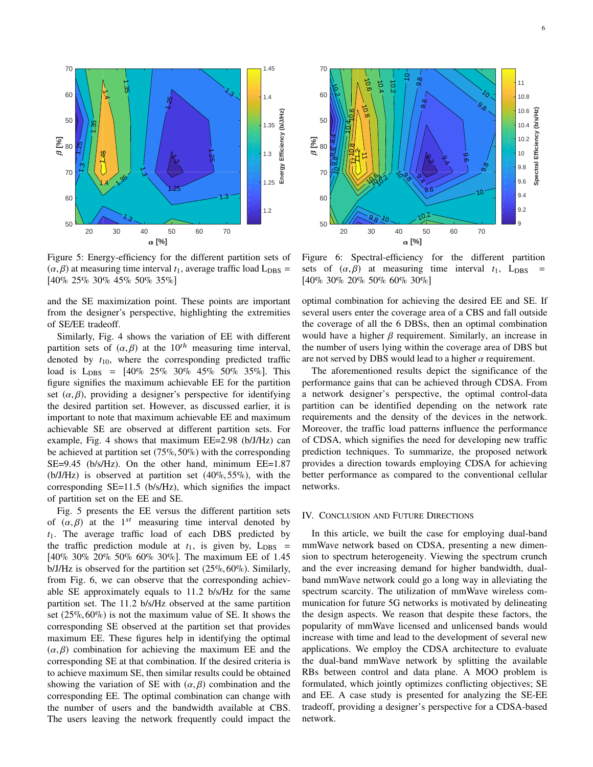

Figure 5: Energy-efficiency for the different partition sets of  $(\alpha, \beta)$  at measuring time interval  $t_1$ , average traffic load  $L_{\text{DBS}} =$ [40% 25% 30% 45% 50% 35%]

and the SE maximization point. These points are important from the designer's perspective, highlighting the extremities of SE/EE tradeoff.

Similarly, Fig. 4 shows the variation of EE with different partition sets of  $(\alpha, \beta)$  at the 10<sup>th</sup> measuring time interval, denoted by  $t_{10}$ , where the corresponding predicted traffic load is  $L_{\text{DBS}} = [40\% \ 25\% \ 30\% \ 45\% \ 50\% \ 35\%]$ . This figure signifies the maximum achievable EE for the partition set  $(\alpha, \beta)$ , providing a designer's perspective for identifying the desired partition set. However, as discussed earlier, it is important to note that maximum achievable EE and maximum achievable SE are observed at different partition sets. For example, Fig. 4 shows that maximum EE=2.98 (b/J/Hz) can be achieved at partition set (75%, 50%) with the corresponding SE=9.45 (b/s/Hz). On the other hand, minimum EE=1.87  $(b/J/Hz)$  is observed at partition set  $(40\%, 55\%)$ , with the corresponding SE=11.5 (b/s/Hz), which signifies the impact of partition set on the EE and SE.

Fig. 5 presents the EE versus the different partition sets of  $(\alpha, \beta)$  at the 1<sup>st</sup> measuring time interval denoted by<br>t. The average traffic load of each DBS predicted by *t*1. The average traffic load of each DBS predicted by the traffic prediction module at  $t_1$ , is given by,  $L_{\text{DBS}}$  = [40% 30% 20% 50% 60% 30%]. The maximum EE of <sup>1</sup>.<sup>45</sup> b/J/Hz is observed for the partition set (25%, 60%). Similarly, from Fig. 6, we can observe that the corresponding achievable SE approximately equals to <sup>11</sup>.<sup>2</sup> b/s/Hz for the same partition set. The <sup>11</sup>.<sup>2</sup> b/s/Hz observed at the same partition set (25%, 60%) is not the maximum value of SE. It shows the corresponding SE observed at the partition set that provides maximum EE. These figures help in identifying the optimal  $(\alpha, \beta)$  combination for achieving the maximum EE and the corresponding SE at that combination. If the desired criteria is to achieve maximum SE, then similar results could be obtained showing the variation of SE with  $(\alpha, \beta)$  combination and the corresponding EE. The optimal combination can change with the number of users and the bandwidth available at CBS. The users leaving the network frequently could impact the



Figure 6: Spectral-efficiency for the different partition sets of  $(\alpha, \beta)$  at measuring time interval  $t_1$ , L<sub>DBS</sub> [40% 30% 20% 50% 60% 30%]

optimal combination for achieving the desired EE and SE. If several users enter the coverage area of a CBS and fall outside the coverage of all the 6 DBSs, then an optimal combination would have a higher  $\beta$  requirement. Similarly, an increase in the number of users lying within the coverage area of DBS but are not served by DBS would lead to a higher  $\alpha$  requirement.

The aforementioned results depict the significance of the performance gains that can be achieved through CDSA. From a network designer's perspective, the optimal control-data partition can be identified depending on the network rate requirements and the density of the devices in the network. Moreover, the traffic load patterns influence the performance of CDSA, which signifies the need for developing new traffic prediction techniques. To summarize, the proposed network provides a direction towards employing CDSA for achieving better performance as compared to the conventional cellular networks.

## IV. CONCLUSION AND FUTURE DIRECTIONS

In this article, we built the case for employing dual-band mmWave network based on CDSA, presenting a new dimension to spectrum heterogeneity. Viewing the spectrum crunch and the ever increasing demand for higher bandwidth, dualband mmWave network could go a long way in alleviating the spectrum scarcity. The utilization of mmWave wireless communication for future 5G networks is motivated by delineating the design aspects. We reason that despite these factors, the popularity of mmWave licensed and unlicensed bands would increase with time and lead to the development of several new applications. We employ the CDSA architecture to evaluate the dual-band mmWave network by splitting the available RBs between control and data plane. A MOO problem is formulated, which jointly optimizes conflicting objectives; SE and EE. A case study is presented for analyzing the SE-EE tradeoff, providing a designer's perspective for a CDSA-based network.